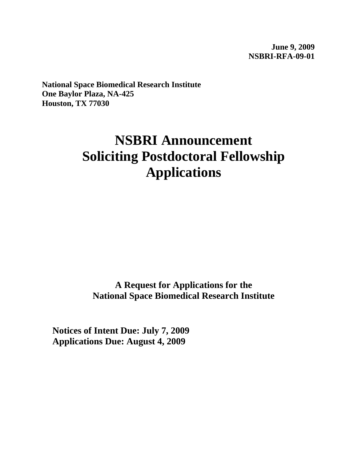**June 9, 2009 NSBRI-RFA-09-01** 

**National Space Biomedical Research Institute One Baylor Plaza, NA-425 Houston, TX 77030**

# **NSBRI Announcement Soliciting Postdoctoral Fellowship Applications**

**A Request for Applications for the National Space Biomedical Research Institute**

**Notices of Intent Due: July 7, 2009 Applications Due: August 4, 2009**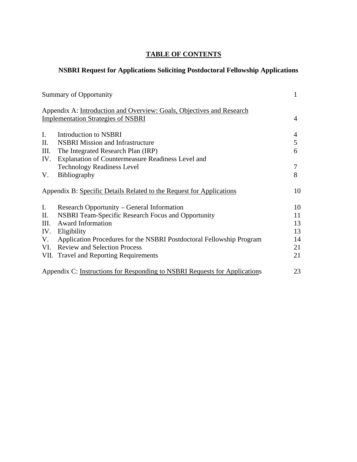# **TABLE OF CONTENTS**

# **NSBRI Request for Applications Soliciting Postdoctoral Fellowship Applications**

| <b>Summary of Opportunity</b> |                                                                            |    |
|-------------------------------|----------------------------------------------------------------------------|----|
|                               | Appendix A: Introduction and Overview: Goals, Objectives and Research      |    |
|                               | <b>Implementation Strategies of NSBRI</b>                                  | 4  |
| $\mathbf{I}$ .                | Introduction to NSBRI                                                      | 4  |
| Π.                            | <b>NSBRI</b> Mission and Infrastructure                                    | 5  |
| III.                          | The Integrated Research Plan (IRP)                                         | 6  |
| IV.                           | Explanation of Countermeasure Readiness Level and                          |    |
|                               | <b>Technology Readiness Level</b>                                          | 7  |
| V.                            | <b>Bibliography</b>                                                        | 8  |
|                               | Appendix B: Specific Details Related to the Request for Applications       | 10 |
| $I_{\cdot}$                   | Research Opportunity – General Information                                 | 10 |
| П.                            | <b>NSBRI Team-Specific Research Focus and Opportunity</b>                  | 11 |
| III.                          | <b>Award Information</b>                                                   | 13 |
| IV.                           | Eligibility                                                                | 13 |
| V.                            | Application Procedures for the NSBRI Postdoctoral Fellowship Program       | 14 |
| VI.                           | <b>Review and Selection Process</b>                                        | 21 |
|                               | VII. Travel and Reporting Requirements                                     | 21 |
|                               | Appendix C: Instructions for Responding to NSBRI Requests for Applications | 23 |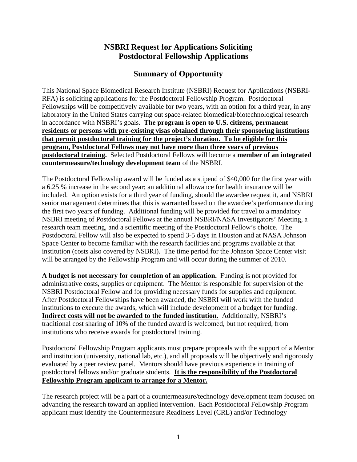# **NSBRI Request for Applications Soliciting Postdoctoral Fellowship Applications**

# **Summary of Opportunity**

This National Space Biomedical Research Institute (NSBRI) Request for Applications (NSBRI-RFA) is soliciting applications for the Postdoctoral Fellowship Program. Postdoctoral Fellowships will be competitively available for two years, with an option for a third year, in any laboratory in the United States carrying out space-related biomedical/biotechnological research in accordance with NSBRI's goals. **The program is open to U.S. citizens, permanent residents or persons with pre-existing visas obtained through their sponsoring institutions that permit postdoctoral training for the project's duration. To be eligible for this program, Postdoctoral Fellows may not have more than three years of previous postdoctoral training.** Selected Postdoctoral Fellows will become a **member of an integrated countermeasure/technology development team** of the NSBRI.

The Postdoctoral Fellowship award will be funded as a stipend of \$40,000 for the first year with a 6.25 % increase in the second year; an additional allowance for health insurance will be included. An option exists for a third year of funding, should the awardee request it, and NSBRI senior management determines that this is warranted based on the awardee's performance during the first two years of funding. Additional funding will be provided for travel to a mandatory NSBRI meeting of Postdoctoral Fellows at the annual NSBRI/NASA Investigators' Meeting, a research team meeting, and a scientific meeting of the Postdoctoral Fellow's choice. The Postdoctoral Fellow will also be expected to spend 3-5 days in Houston and at NASA Johnson Space Center to become familiar with the research facilities and programs available at that institution (costs also covered by NSBRI). The time period for the Johnson Space Center visit will be arranged by the Fellowship Program and will occur during the summer of 2010.

**A budget is not necessary for completion of an application.** Funding is not provided for administrative costs, supplies or equipment. The Mentor is responsible for supervision of the NSBRI Postdoctoral Fellow and for providing necessary funds for supplies and equipment. After Postdoctoral Fellowships have been awarded, the NSBRI will work with the funded institutions to execute the awards, which will include development of a budget for funding. **Indirect costs will not be awarded to the funded institution.** Additionally, NSBRI's traditional cost sharing of 10% of the funded award is welcomed, but not required, from institutions who receive awards for postdoctoral training.

Postdoctoral Fellowship Program applicants must prepare proposals with the support of a Mentor and institution (university, national lab, etc.), and all proposals will be objectively and rigorously evaluated by a peer review panel. Mentors should have previous experience in training of postdoctoral fellows and/or graduate students. **It is the responsibility of the Postdoctoral Fellowship Program applicant to arrange for a Mentor.**

The research project will be a part of a countermeasure/technology development team focused on advancing the research toward an applied intervention. Each Postdoctoral Fellowship Program applicant must identify the Countermeasure Readiness Level (CRL) and/or Technology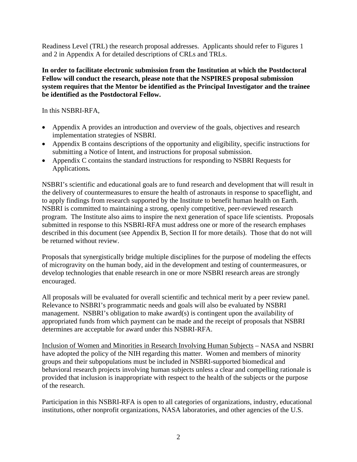Readiness Level (TRL) the research proposal addresses. Applicants should refer to Figures 1 and 2 in Appendix A for detailed descriptions of CRLs and TRLs.

#### **In order to facilitate electronic submission from the Institution at which the Postdoctoral Fellow will conduct the research, please note that the NSPIRES proposal submission system requires that the Mentor be identified as the Principal Investigator and the trainee be identified as the Postdoctoral Fellow.**

In this NSBRI-RFA,

- Appendix A provides an introduction and overview of the goals, objectives and research implementation strategies of NSBRI.
- Appendix B contains descriptions of the opportunity and eligibility, specific instructions for submitting a Notice of Intent, and instructions for proposal submission.
- Appendix C contains the standard instructions for responding to NSBRI Requests for Applications**.**

NSBRI's scientific and educational goals are to fund research and development that will result in the delivery of countermeasures to ensure the health of astronauts in response to spaceflight, and to apply findings from research supported by the Institute to benefit human health on Earth. NSBRI is committed to maintaining a strong, openly competitive, peer-reviewed research program. The Institute also aims to inspire the next generation of space life scientists. Proposals submitted in response to this NSBRI-RFA must address one or more of the research emphases described in this document (see Appendix B, Section II for more details). Those that do not will be returned without review.

Proposals that synergistically bridge multiple disciplines for the purpose of modeling the effects of microgravity on the human body, aid in the development and testing of countermeasures, or develop technologies that enable research in one or more NSBRI research areas are strongly encouraged.

All proposals will be evaluated for overall scientific and technical merit by a peer review panel. Relevance to NSBRI's programmatic needs and goals will also be evaluated by NSBRI management. NSBRI's obligation to make award(s) is contingent upon the availability of appropriated funds from which payment can be made and the receipt of proposals that NSBRI determines are acceptable for award under this NSBRI-RFA.

Inclusion of Women and Minorities in Research Involving Human Subjects – NASA and NSBRI have adopted the policy of the NIH regarding this matter. Women and members of minority groups and their subpopulations must be included in NSBRI-supported biomedical and behavioral research projects involving human subjects unless a clear and compelling rationale is provided that inclusion is inappropriate with respect to the health of the subjects or the purpose of the research.

Participation in this NSBRI-RFA is open to all categories of organizations, industry, educational institutions, other nonprofit organizations, NASA laboratories, and other agencies of the U.S.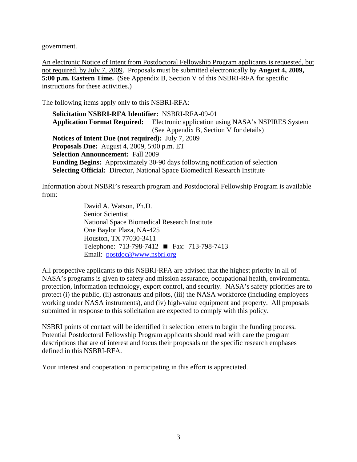government.

An electronic Notice of Intent from Postdoctoral Fellowship Program applicants is requested, but not required, by July 7, 2009. Proposals must be submitted electronically by **August 4, 2009, 5:00 p.m. Eastern Time.** (See Appendix B, Section V of this NSBRI-RFA for specific instructions for these activities.)

The following items apply only to this NSBRI-RFA:

**Solicitation NSBRI-RFA Identifier:** NSBRI-RFA-09-01 **Application Format Required:** Electronic application using NASA's NSPIRES System (See Appendix B, Section V for details) **Notices of Intent Due (not required):** July 7, 2009 **Proposals Due:** August 4, 2009, 5:00 p.m. ET **Selection Announcement:** Fall 2009 **Funding Begins:** Approximately 30-90 days following notification of selection **Selecting Official:** Director, National Space Biomedical Research Institute

Information about NSBRI's research program and Postdoctoral Fellowship Program is available from:

> David A. Watson, Ph.D. Senior Scientist National Space Biomedical Research Institute One Baylor Plaza, NA-425 Houston, TX 77030-3411 Telephone: 713-798-7412 ■ Fax: 713-798-7413 Email: [postdoc@www.nsbri.org](mailto:postdoc@www.nsbri.org)

All prospective applicants to this NSBRI-RFA are advised that the highest priority in all of NASA's programs is given to safety and mission assurance, occupational health, environmental protection, information technology, export control, and security. NASA's safety priorities are to protect (i) the public, (ii) astronauts and pilots, (iii) the NASA workforce (including employees working under NASA instruments), and (iv) high-value equipment and property. All proposals submitted in response to this solicitation are expected to comply with this policy.

NSBRI points of contact will be identified in selection letters to begin the funding process. Potential Postdoctoral Fellowship Program applicants should read with care the program descriptions that are of interest and focus their proposals on the specific research emphases defined in this NSBRI-RFA.

Your interest and cooperation in participating in this effort is appreciated.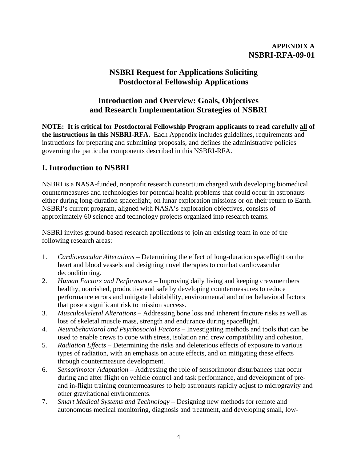## **APPENDIX A NSBRI-RFA-09-01**

# **NSBRI Request for Applications Soliciting Postdoctoral Fellowship Applications**

# **Introduction and Overview: Goals, Objectives and Research Implementation Strategies of NSBRI**

**NOTE: It is critical for Postdoctoral Fellowship Program applicants to read carefully all of the instructions in this NSBRI-RFA.** Each Appendix includes guidelines, requirements and instructions for preparing and submitting proposals, and defines the administrative policies governing the particular components described in this NSBRI-RFA.

# **I. Introduction to NSBRI**

NSBRI is a NASA-funded, nonprofit research consortium charged with developing biomedical countermeasures and technologies for potential health problems that could occur in astronauts either during long-duration spaceflight, on lunar exploration missions or on their return to Earth. NSBRI's current program, aligned with NASA's exploration objectives, consists of approximately 60 science and technology projects organized into research teams.

NSBRI invites ground-based research applications to join an existing team in one of the following research areas:

- 1. *Cardiovascular Alterations* Determining the effect of long-duration spaceflight on the heart and blood vessels and designing novel therapies to combat cardiovascular deconditioning.
- 2. *Human Factors and Performance* Improving daily living and keeping crewmembers healthy, nourished, productive and safe by developing countermeasures to reduce performance errors and mitigate habitability, environmental and other behavioral factors that pose a significant risk to mission success.
- 3. *Musculoskeletal Alterations*  Addressing bone loss and inherent fracture risks as well as loss of skeletal muscle mass, strength and endurance during spaceflight.
- 4. *Neurobehavioral and Psychosocial Factors* Investigating methods and tools that can be used to enable crews to cope with stress, isolation and crew compatibility and cohesion.
- 5. *Radiation Effects* Determining the risks and deleterious effects of exposure to various types of radiation, with an emphasis on acute effects, and on mitigating these effects through countermeasure development.
- 6. *Sensorimotor Adaptation* Addressing the role of sensorimotor disturbances that occur during and after flight on vehicle control and task performance, and development of preand in-flight training countermeasures to help astronauts rapidly adjust to microgravity and other gravitational environments.
- 7. *Smart Medical Systems and Technology*  Designing new methods for remote and autonomous medical monitoring, diagnosis and treatment, and developing small, low-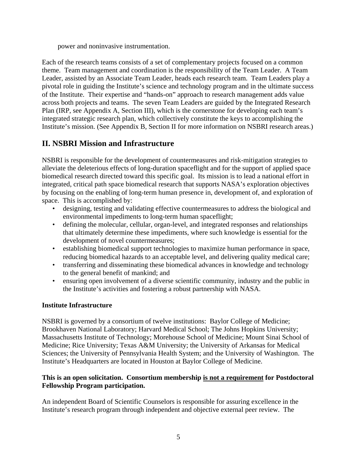power and noninvasive instrumentation.

Each of the research teams consists of a set of complementary projects focused on a common theme. Team management and coordination is the responsibility of the Team Leader. A Team Leader, assisted by an Associate Team Leader, heads each research team. Team Leaders play a pivotal role in guiding the Institute's science and technology program and in the ultimate success of the Institute. Their expertise and "hands-on" approach to research management adds value across both projects and teams. The seven Team Leaders are guided by the Integrated Research Plan (IRP, see Appendix A, Section III), which is the cornerstone for developing each team's integrated strategic research plan, which collectively constitute the keys to accomplishing the Institute's mission. (See Appendix B, Section II for more information on NSBRI research areas.)

# **II. NSBRI Mission and Infrastructure**

NSBRI is responsible for the development of countermeasures and risk-mitigation strategies to alleviate the deleterious effects of long-duration spaceflight and for the support of applied space biomedical research directed toward this specific goal. Its mission is to lead a national effort in integrated, critical path space biomedical research that supports NASA's exploration objectives by focusing on the enabling of long-term human presence in, development of, and exploration of space. This is accomplished by:

- designing, testing and validating effective countermeasures to address the biological and environmental impediments to long-term human spaceflight;
- defining the molecular, cellular, organ-level, and integrated responses and relationships that ultimately determine these impediments, where such knowledge is essential for the development of novel countermeasures;
- establishing biomedical support technologies to maximize human performance in space, reducing biomedical hazards to an acceptable level, and delivering quality medical care;
- transferring and disseminating these biomedical advances in knowledge and technology to the general benefit of mankind; and
- ensuring open involvement of a diverse scientific community, industry and the public in the Institute's activities and fostering a robust partnership with NASA.

## **Institute Infrastructure**

NSBRI is governed by a consortium of twelve institutions: Baylor College of Medicine; Brookhaven National Laboratory; Harvard Medical School; The Johns Hopkins University; Massachusetts Institute of Technology; Morehouse School of Medicine; Mount Sinai School of Medicine; Rice University; Texas A&M University; the University of Arkansas for Medical Sciences; the University of Pennsylvania Health System; and the University of Washington. The Institute's Headquarters are located in Houston at Baylor College of Medicine.

## **This is an open solicitation. Consortium membership is not a requirement for Postdoctoral Fellowship Program participation.**

An independent Board of Scientific Counselors is responsible for assuring excellence in the Institute's research program through independent and objective external peer review. The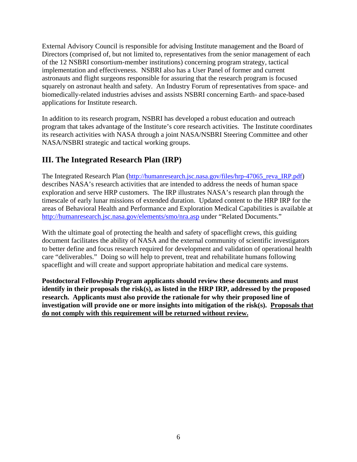External Advisory Council is responsible for advising Institute management and the Board of Directors (comprised of, but not limited to, representatives from the senior management of each of the 12 NSBRI consortium-member institutions) concerning program strategy, tactical implementation and effectiveness. NSBRI also has a User Panel of former and current astronauts and flight surgeons responsible for assuring that the research program is focused squarely on astronaut health and safety. An Industry Forum of representatives from space- and biomedically-related industries advises and assists NSBRI concerning Earth- and space-based applications for Institute research.

In addition to its research program, NSBRI has developed a robust education and outreach program that takes advantage of the Institute's core research activities. The Institute coordinates its research activities with NASA through a joint NASA/NSBRI Steering Committee and other NASA/NSBRI strategic and tactical working groups.

# **III. The Integrated Research Plan (IRP)**

The Integrated Research Plan ([http://humanresearch.jsc.nasa.gov/files/hrp-47065\\_reva\\_IRP.pdf](http://humanresearch.jsc.nasa.gov/files/hrp-47065_reva_IRP.pdf)) describes NASA's research activities that are intended to address the needs of human space exploration and serve HRP customers. The IRP illustrates NASA's research plan through the timescale of early lunar missions of extended duration. Updated content to the HRP IRP for the areas of Behavioral Health and Performance and Exploration Medical Capabilities is available at <http://humanresearch.jsc.nasa.gov/elements/smo/nra.asp> under "Related Documents."

With the ultimate goal of protecting the health and safety of spaceflight crews, this guiding document facilitates the ability of NASA and the external community of scientific investigators to better define and focus research required for development and validation of operational health care "deliverables." Doing so will help to prevent, treat and rehabilitate humans following spaceflight and will create and support appropriate habitation and medical care systems.

**Postdoctoral Fellowship Program applicants should review these documents and must identify in their proposals the risk(s), as listed in the HRP IRP, addressed by the proposed research. Applicants must also provide the rationale for why their proposed line of**  investigation will provide one or more insights into mitigation of the risk(s). Proposals that **do not comply with this requirement will be returned without review.**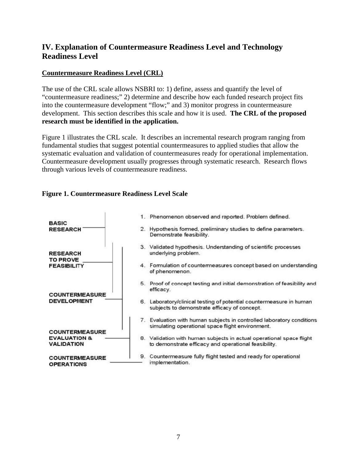# **IV. Explanation of Countermeasure Readiness Level and Technology Readiness Level**

## **Countermeasure Readiness Level (CRL)**

The use of the CRL scale allows NSBRI to: 1) define, assess and quantify the level of "countermeasure readiness;" 2) determine and describe how each funded research project fits into the countermeasure development "flow;" and 3) monitor progress in countermeasure development. This section describes this scale and how it is used. **The CRL of the proposed research must be identified in the application.** 

Figure 1 illustrates the CRL scale. It describes an incremental research program ranging from fundamental studies that suggest potential countermeasures to applied studies that allow the systematic evaluation and validation of countermeasures ready for operational implementation. Countermeasure development usually progresses through systematic research. Research flows through various levels of countermeasure readiness.

## **Figure 1. Countermeasure Readiness Level Scale**

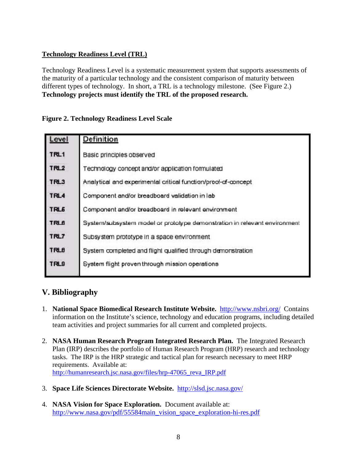## **Technology Readiness Level (TRL)**

Technology Readiness Level is a systematic measurement system that supports assessments of the maturity of a particular technology and the consistent comparison of maturity between different types of technology. In short, a TRL is a technology milestone. (See Figure 2.) **Technology projects must identify the TRL of the proposed research.**

## **Figure 2. Technology Readiness Level Scale**

| Level            | Definition                                                                |
|------------------|---------------------------------------------------------------------------|
| TRL1             | Basic principles observed                                                 |
| TRL <sub>2</sub> | Technology concept and/or application formulated                          |
| TRL3             | Analytical and experimental critical function/prool-of-concept            |
| TRL4             | Component and/or breadboard validation in lab                             |
| TRL <sub>6</sub> | Component and/or breadboard in relevant environment                       |
| <b>TRL6</b>      | System/subsystem model or prototype demonstration in relevant environment |
| TRL7             | Subsystem prototype in a space environment                                |
| <b>TRLB</b>      | System completed and flight qualified through demonstration               |
| TRL9             | System flight proven through mission operations                           |
|                  |                                                                           |

# **V. Bibliography**

- 1. **National Space Biomedical Research Institute Website.** <http://www.nsbri.org/> Contains information on the Institute's science, technology and education programs, including detailed team activities and project summaries for all current and completed projects.
- 2. **NASA Human Research Program Integrated Research Plan.** The Integrated Research Plan (IRP) describes the portfolio of Human Research Program (HRP) research and technology tasks. The IRP is the HRP strategic and tactical plan for research necessary to meet HRP requirements. Available at: [http://humanresearch.jsc.nasa.gov/files/hrp-47065\\_reva\\_IRP.pdf](http://humanresearch.jsc.nasa.gov/files/hrp-47065_reva_IRP.pdf)
- 3. **Space Life Sciences Directorate Website.** <http://slsd.jsc.nasa.gov/>
- 4. **NASA Vision for Space Exploration.** Document available at: [http://www.nasa.gov/pdf/55584main\\_vision\\_space\\_exploration-hi-res.pdf](http://www.nasa.gov/pdf/55584main_vision_space_exploration-hi-res.pdf)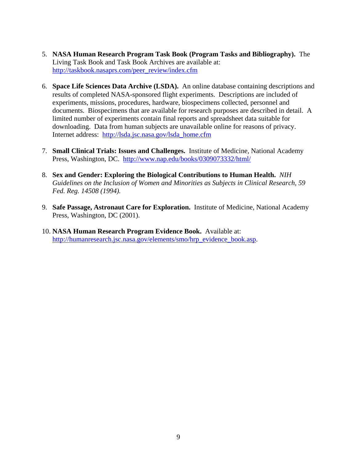- 5. **NASA Human Research Program Task Book (Program Tasks and Bibliography).** The Living Task Book and Task Book Archives are available at: [http://taskbook.nasaprs.com/peer\\_review/index.cfm](http://taskbook.nasaprs.com/peer_review/index.cfm)
- 6. **Space Life Sciences Data Archive (LSDA).** An online database containing descriptions and results of completed NASA-sponsored flight experiments. Descriptions are included of experiments, missions, procedures, hardware, biospecimens collected, personnel and documents. Biospecimens that are available for research purposes are described in detail. A limited number of experiments contain final reports and spreadsheet data suitable for downloading. Data from human subjects are unavailable online for reasons of privacy. Internet address: [http://lsda.jsc.nasa.gov/lsda\\_home.cfm](http://lsda.jsc.nasa.gov/lsda_home.cfm)
- 7. **Small Clinical Trials: Issues and Challenges.** Institute of Medicine, National Academy Press, Washington, DC. <http://www.nap.edu/books/0309073332/html/>
- 8. **Sex and Gender: Exploring the Biological Contributions to Human Health.** *NIH Guidelines on the Inclusion of Women and Minorities as Subjects in Clinical Research, 59 Fed. Reg. 14508 (1994).*
- 9. **Safe Passage, Astronaut Care for Exploration.** Institute of Medicine, National Academy Press, Washington, DC (2001).
- 10. **NASA Human Research Program Evidence Book.** Available at: [http://humanresearch.jsc.nasa.gov/elements/smo/hrp\\_evidence\\_book.asp](http://humanresearch.jsc.nasa.gov/elements/smo/hrp_evidence_book.asp).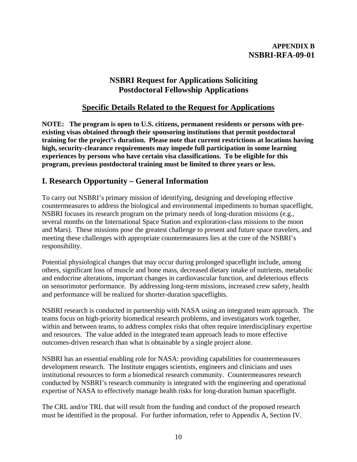## **APPENDIX B NSBRI-RFA-09-01**

# **NSBRI Request for Applications Soliciting Postdoctoral Fellowship Applications**

# **Specific Details Related to the Request for Applications**

**NOTE: The program is open to U.S. citizens, permanent residents or persons with preexisting visas obtained through their sponsoring institutions that permit postdoctoral training for the project's duration. Please note that current restrictions at locations having high, security-clearance requirements may impede full participation in some learning experiences by persons who have certain visa classifications. To be eligible for this program, previous postdoctoral training must be limited to three years or less.** 

# **I. Research Opportunity – General Information**

To carry out NSBRI's primary mission of identifying, designing and developing effective countermeasures to address the biological and environmental impediments to human spaceflight, NSBRI focuses its research program on the primary needs of long-duration missions (e.g., several months on the International Space Station and exploration-class missions to the moon and Mars). These missions pose the greatest challenge to present and future space travelers, and meeting these challenges with appropriate countermeasures lies at the core of the NSBRI's responsibility.

Potential physiological changes that may occur during prolonged spaceflight include, among others, significant loss of muscle and bone mass, decreased dietary intake of nutrients, metabolic and endocrine alterations, important changes in cardiovascular function, and deleterious effects on sensorimotor performance. By addressing long-term missions, increased crew safety, health and performance will be realized for shorter-duration spaceflights.

NSBRI research is conducted in partnership with NASA using an integrated team approach. The teams focus on high-priority biomedical research problems, and investigators work together, within and between teams, to address complex risks that often require interdisciplinary expertise and resources. The value added in the integrated team approach leads to more effective outcomes-driven research than what is obtainable by a single project alone.

NSBRI has an essential enabling role for NASA: providing capabilities for countermeasures development research. The Institute engages scientists, engineers and clinicians and uses institutional resources to form a biomedical research community. Countermeasures research conducted by NSBRI's research community is integrated with the engineering and operational expertise of NASA to effectively manage health risks for long-duration human spaceflight.

The CRL and/or TRL that will result from the funding and conduct of the proposed research must be identified in the proposal. For further information, refer to Appendix A, Section IV.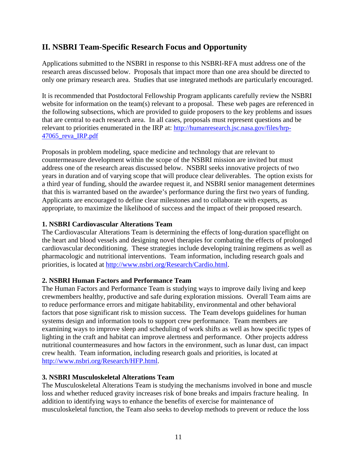# **II. NSBRI Team-Specific Research Focus and Opportunity**

Applications submitted to the NSBRI in response to this NSBRI-RFA must address one of the research areas discussed below. Proposals that impact more than one area should be directed to only one primary research area. Studies that use integrated methods are particularly encouraged.

It is recommended that Postdoctoral Fellowship Program applicants carefully review the NSBRI website for information on the team(s) relevant to a proposal. These web pages are referenced in the following subsections, which are provided to guide proposers to the key problems and issues that are central to each research area. In all cases, proposals must represent questions and be relevant to priorities enumerated in the IRP at: [http://humanresearch.jsc.nasa.gov/files/hrp-](http://humanresearch.jsc.nasa.gov/files/hrp-47065_reva_IRP.pdf)[47065\\_reva\\_IRP.pdf](http://humanresearch.jsc.nasa.gov/files/hrp-47065_reva_IRP.pdf)

Proposals in problem modeling, space medicine and technology that are relevant to countermeasure development within the scope of the NSBRI mission are invited but must address one of the research areas discussed below. NSBRI seeks innovative projects of two years in duration and of varying scope that will produce clear deliverables. The option exists for a third year of funding, should the awardee request it, and NSBRI senior management determines that this is warranted based on the awardee's performance during the first two years of funding. Applicants are encouraged to define clear milestones and to collaborate with experts, as appropriate, to maximize the likelihood of success and the impact of their proposed research.

## **1. NSBRI Cardiovascular Alterations Team**

The Cardiovascular Alterations Team is determining the effects of long-duration spaceflight on the heart and blood vessels and designing novel therapies for combating the effects of prolonged cardiovascular deconditioning. These strategies include developing training regimens as well as pharmacologic and nutritional interventions. Team information, including research goals and priorities, is located at <http://www.nsbri.org/Research/Cardio.html>.

## **2. NSBRI Human Factors and Performance Team**

The Human Factors and Performance Team is studying ways to improve daily living and keep crewmembers healthy, productive and safe during exploration missions. Overall Team aims are to reduce performance errors and mitigate habitability, environmental and other behavioral factors that pose significant risk to mission success. The Team develops guidelines for human systems design and information tools to support crew performance. Team members are examining ways to improve sleep and scheduling of work shifts as well as how specific types of lighting in the craft and habitat can improve alertness and performance. Other projects address nutritional countermeasures and how factors in the environment, such as lunar dust, can impact crew health. Team information, including research goals and priorities, is located at <http://www.nsbri.org/Research/HFP.html>.

## **3. NSBRI Musculoskeletal Alterations Team**

The Musculoskeletal Alterations Team is studying the mechanisms involved in bone and muscle loss and whether reduced gravity increases risk of bone breaks and impairs fracture healing. In addition to identifying ways to enhance the benefits of exercise for maintenance of musculoskeletal function, the Team also seeks to develop methods to prevent or reduce the loss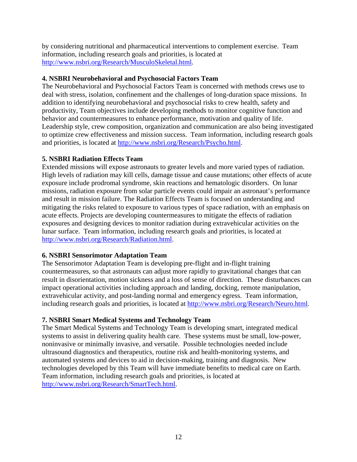by considering nutritional and pharmaceutical interventions to complement exercise. Team information, including research goals and priorities, is located at [http://www.nsbri.org/Research/MusculoSkeletal.html.](http://www.nsbri.org/Research/MusculoSkeletal.html)

## **4. NSBRI Neurobehavioral and Psychosocial Factors Team**

The Neurobehavioral and Psychosocial Factors Team is concerned with methods crews use to deal with stress, isolation, confinement and the challenges of long-duration space missions. In addition to identifying neurobehavioral and psychosocial risks to crew health, safety and productivity, Team objectives include developing methods to monitor cognitive function and behavior and countermeasures to enhance performance, motivation and quality of life. Leadership style, crew composition, organization and communication are also being investigated to optimize crew effectiveness and mission success. Team information, including research goals and priorities, is located at [http://www.nsbri.org/Research/Psycho.html.](http://www.nsbri.org/Research/Psycho.html)

## **5. NSBRI Radiation Effects Team**

Extended missions will expose astronauts to greater levels and more varied types of radiation. High levels of radiation may kill cells, damage tissue and cause mutations; other effects of acute exposure include prodromal syndrome, skin reactions and hematologic disorders. On lunar missions, radiation exposure from solar particle events could impair an astronaut's performance and result in mission failure. The Radiation Effects Team is focused on understanding and mitigating the risks related to exposure to various types of space radiation, with an emphasis on acute effects. Projects are developing countermeasures to mitigate the effects of radiation exposures and designing devices to monitor radiation during extravehicular activities on the lunar surface. Team information, including research goals and priorities, is located at [http://www.nsbri.org/Research/Radiation.html.](http://www.nsbri.org/Research/Radiation.html)

## **6. NSBRI Sensorimotor Adaptation Team**

The Sensorimotor Adaptation Team is developing pre-flight and in-flight training countermeasures, so that astronauts can adjust more rapidly to gravitational changes that can result in disorientation, motion sickness and a loss of sense of direction. These disturbances can impact operational activities including approach and landing, docking, remote manipulation, extravehicular activity, and post-landing normal and emergency egress. Team information, including research goals and priorities, is located at [http://www.nsbri.org/Research/Neuro.html.](http://www.nsbri.org/Research/Neuro.html)

## **7. NSBRI Smart Medical Systems and Technology Team**

The Smart Medical Systems and Technology Team is developing smart, integrated medical systems to assist in delivering quality health care. These systems must be small, low-power, noninvasive or minimally invasive, and versatile. Possible technologies needed include ultrasound diagnostics and therapeutics, routine risk and health-monitoring systems, and automated systems and devices to aid in decision-making, training and diagnosis. New technologies developed by this Team will have immediate benefits to medical care on Earth. Team information, including research goals and priorities, is located at [http://www.nsbri.org/Research/SmartTech.html.](http://www.nsbri.org/Research/SmartTech.html)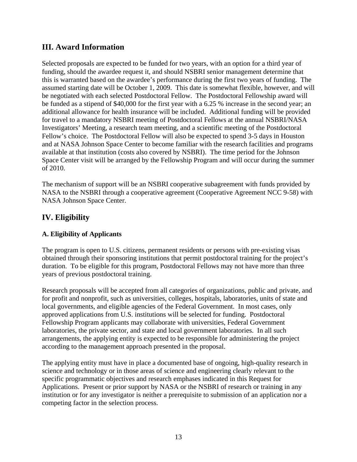# **III. Award Information**

Selected proposals are expected to be funded for two years, with an option for a third year of funding, should the awardee request it, and should NSBRI senior management determine that this is warranted based on the awardee's performance during the first two years of funding. The assumed starting date will be October 1, 2009. This date is somewhat flexible, however, and will be negotiated with each selected Postdoctoral Fellow. The Postdoctoral Fellowship award will be funded as a stipend of \$40,000 for the first year with a 6.25 % increase in the second year; an additional allowance for health insurance will be included. Additional funding will be provided for travel to a mandatory NSBRI meeting of Postdoctoral Fellows at the annual NSBRI/NASA Investigators' Meeting, a research team meeting, and a scientific meeting of the Postdoctoral Fellow's choice. The Postdoctoral Fellow will also be expected to spend 3-5 days in Houston and at NASA Johnson Space Center to become familiar with the research facilities and programs available at that institution (costs also covered by NSBRI). The time period for the Johnson Space Center visit will be arranged by the Fellowship Program and will occur during the summer of 2010.

The mechanism of support will be an NSBRI cooperative subagreement with funds provided by NASA to the NSBRI through a cooperative agreement (Cooperative Agreement NCC 9-58) with NASA Johnson Space Center.

# **IV. Eligibility**

## **A. Eligibility of Applicants**

The program is open to U.S. citizens, permanent residents or persons with pre-existing visas obtained through their sponsoring institutions that permit postdoctoral training for the project's duration. To be eligible for this program, Postdoctoral Fellows may not have more than three years of previous postdoctoral training.

Research proposals will be accepted from all categories of organizations, public and private, and for profit and nonprofit, such as universities, colleges, hospitals, laboratories, units of state and local governments, and eligible agencies of the Federal Government. In most cases, only approved applications from U.S. institutions will be selected for funding. Postdoctoral Fellowship Program applicants may collaborate with universities, Federal Government laboratories, the private sector, and state and local government laboratories. In all such arrangements, the applying entity is expected to be responsible for administering the project according to the management approach presented in the proposal.

The applying entity must have in place a documented base of ongoing, high-quality research in science and technology or in those areas of science and engineering clearly relevant to the specific programmatic objectives and research emphases indicated in this Request for Applications. Present or prior support by NASA or the NSBRI of research or training in any institution or for any investigator is neither a prerequisite to submission of an application nor a competing factor in the selection process.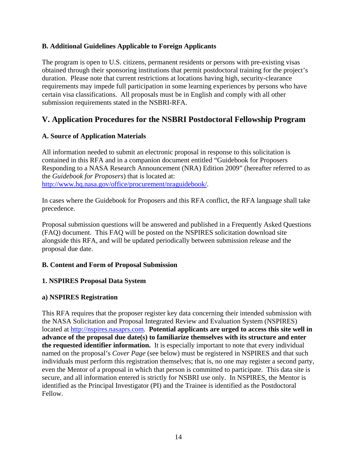## **B. Additional Guidelines Applicable to Foreign Applicants**

The program is open to U.S. citizens, permanent residents or persons with pre-existing visas obtained through their sponsoring institutions that permit postdoctoral training for the project's duration. Please note that current restrictions at locations having high, security-clearance requirements may impede full participation in some learning experiences by persons who have certain visa classifications. All proposals must be in English and comply with all other submission requirements stated in the NSBRI-RFA.

# **V. Application Procedures for the NSBRI Postdoctoral Fellowship Program**

## **A. Source of Application Materials**

All information needed to submit an electronic proposal in response to this solicitation is contained in this RFA and in a companion document entitled "Guidebook for Proposers Responding to a NASA Research Announcement (NRA) Edition 2009" (hereafter referred to as the *Guidebook for Proposers*) that is located at: [http://www.hq.nasa.gov/office/procurement/nraguidebook/.](http://www.hq.nasa.gov/office/procurement/nraguidebook/)

In cases where the Guidebook for Proposers and this RFA conflict, the RFA language shall take precedence.

Proposal submission questions will be answered and published in a Frequently Asked Questions (FAQ) document. This FAQ will be posted on the NSPIRES solicitation download site alongside this RFA, and will be updated periodically between submission release and the proposal due date.

## **B. Content and Form of Proposal Submission**

## **1. NSPIRES Proposal Data System**

## **a) NSPIRES Registration**

This RFA requires that the proposer register key data concerning their intended submission with the NASA Solicitation and Proposal Integrated Review and Evaluation System (NSPIRES) located at [http://nspires.nasaprs.com.](http://nspires.nasaprs.com/) **Potential applicants are urged to access this site well in advance of the proposal due date(s) to familiarize themselves with its structure and enter the requested identifier information.** It is especially important to note that every individual named on the proposal's *Cover Page* (see below) must be registered in NSPIRES and that such individuals must perform this registration themselves; that is, no one may register a second party, even the Mentor of a proposal in which that person is committed to participate. This data site is secure, and all information entered is strictly for NSBRI use only. In NSPIRES, the Mentor is identified as the Principal Investigator (PI) and the Trainee is identified as the Postdoctoral Fellow.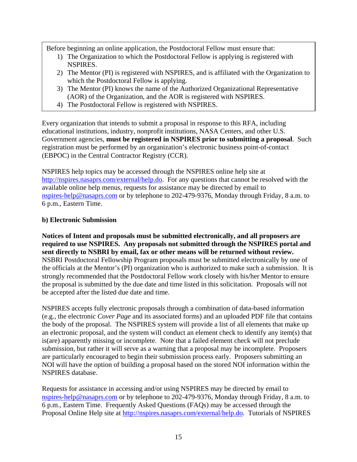Before beginning an online application, the Postdoctoral Fellow must ensure that:

- 1) The Organization to which the Postdoctoral Fellow is applying is registered with NSPIRES.
- 2) The Mentor (PI) is registered with NSPIRES, and is affiliated with the Organization to which the Postdoctoral Fellow is applying.
- 3) The Mentor (PI) knows the name of the Authorized Organizational Representative (AOR) of the Organization, and the AOR is registered with NSPIRES.
- 4) The Postdoctoral Fellow is registered with NSPIRES.

Every organization that intends to submit a proposal in response to this RFA, including educational institutions, industry, nonprofit institutions, NASA Centers, and other U.S. Government agencies, **must be registered in NSPIRES prior to submitting a proposal**. Such registration must be performed by an organization's electronic business point-of-contact (EBPOC) in the Central Contractor Registry (CCR).

NSPIRES help topics may be accessed through the NSPIRES online help site at <http://nspires.nasaprs.com/external/help.do>. For any questions that cannot be resolved with the available online help menus, requests for assistance may be directed by email to [nspires-help@nasaprs.com](mailto:nspires-help@nasaprs.com) or by telephone to 202-479-9376, Monday through Friday, 8 a.m. to 6 p.m., Eastern Time.

## **b) Electronic Submission**

**Notices of Intent and proposals must be submitted electronically, and all proposers are required to use NSPIRES. Any proposals not submitted through the NSPIRES portal and sent directly to NSBRI by email, fax or other means will be returned without review.**  NSBRI Postdoctoral Fellowship Program proposals must be submitted electronically by one of the officials at the Mentor's (PI) organization who is authorized to make such a submission. It is strongly recommended that the Postdoctoral Fellow work closely with his/her Mentor to ensure the proposal is submitted by the due date and time listed in this solicitation. Proposals will not be accepted after the listed due date and time.

NSPIRES accepts fully electronic proposals through a combination of data-based information (e.g., the electronic *Cover Page* and its associated forms) and an uploaded PDF file that contains the body of the proposal. The NSPIRES system will provide a list of all elements that make up an electronic proposal, and the system will conduct an element check to identify any item(s) that is(are) apparently missing or incomplete. Note that a failed element check will not preclude submission, but rather it will serve as a warning that a proposal may be incomplete. Proposers are particularly encouraged to begin their submission process early. Proposers submitting an NOI will have the option of building a proposal based on the stored NOI information within the NSPIRES database.

Requests for assistance in accessing and/or using NSPIRES may be directed by email to [nspires-help@nasaprs.com](mailto:nspires-help@nasaprs.com) or by telephone to 202-479-9376, Monday through Friday, 8 a.m. to 6 p.m., Eastern Time. Frequently Asked Questions (FAQs) may be accessed through the Proposal Online Help site at [http://nspires.nasaprs.com/external/help.do.](http://nspires.nasaprs.com/external/help.do) Tutorials of NSPIRES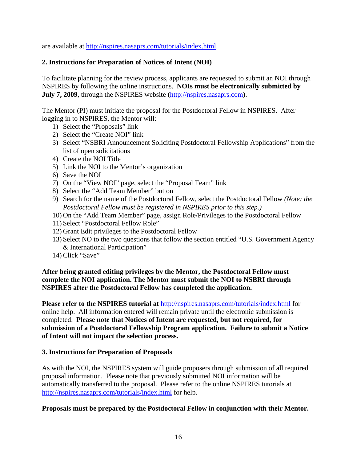are available at [http://nspires.nasaprs.com/tutorials/index.html.](http://nspires.nasaprs.com/tutorials/index.html)

## **2. Instructions for Preparation of Notices of Intent (NOI)**

To facilitate planning for the review process, applicants are requested to submit an NOI through NSPIRES by following the online instructions. **NOIs must be electronically submitted by July 7, 2009**, through the NSPIRES website **(**[http://nspires.nasaprs.com](http://nspires.nasaprs.com/)**)**.

The Mentor (PI) must initiate the proposal for the Postdoctoral Fellow in NSPIRES. After logging in to NSPIRES, the Mentor will:

- 1) Select the "Proposals" link
- 2) Select the "Create NOI" link
- 3) Select "NSBRI Announcement Soliciting Postdoctoral Fellowship Applications" from the list of open solicitations
- 4) Create the NOI Title
- 5) Link the NOI to the Mentor's organization
- 6) Save the NOI
- 7) On the "View NOI" page, select the "Proposal Team" link
- 8) Select the "Add Team Member" button
- 9) Search for the name of the Postdoctoral Fellow, select the Postdoctoral Fellow *(Note: the Postdoctoral Fellow must be registered in NSPIRES prior to this step.)*
- 10) On the "Add Team Member" page, assign Role/Privileges to the Postdoctoral Fellow
- 11) Select "Postdoctoral Fellow Role"
- 12) Grant Edit privileges to the Postdoctoral Fellow
- 13) Select NO to the two questions that follow the section entitled "U.S. Government Agency & International Participation"
- 14) Click "Save"

## **After being granted editing privileges by the Mentor, the Postdoctoral Fellow must complete the NOI application. The Mentor must submit the NOI to NSBRI through NSPIRES after the Postdoctoral Fellow has completed the application.**

**Please refer to the NSPIRES tutorial at** <http://nspires.nasaprs.com/tutorials/index.html>for online help. All information entered will remain private until the electronic submission is completed. **Please note that Notices of Intent are requested, but not required, for submission of a Postdoctoral Fellowship Program application. Failure to submit a Notice of Intent will not impact the selection process.**

#### **3. Instructions for Preparation of Proposals**

As with the NOI, the NSPIRES system will guide proposers through submission of all required proposal information. Please note that previously submitted NOI information will be automatically transferred to the proposal. Please refer to the online NSPIRES tutorials at <http://nspires.nasaprs.com/tutorials/index.html> for help.

#### **Proposals must be prepared by the Postdoctoral Fellow in conjunction with their Mentor.**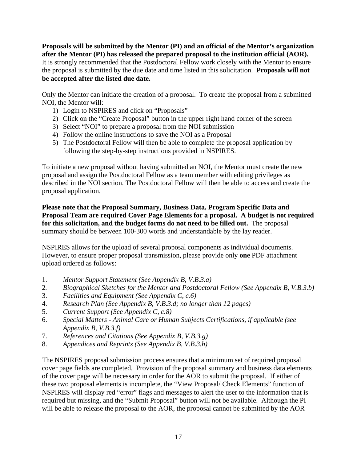**Proposals will be submitted by the Mentor (PI) and an official of the Mentor's organization after the Mentor (PI) has released the prepared proposal to the institution official (AOR).** It is strongly recommended that the Postdoctoral Fellow work closely with the Mentor to ensure the proposal is submitted by the due date and time listed in this solicitation. **Proposals will not be accepted after the listed due date.**

Only the Mentor can initiate the creation of a proposal. To create the proposal from a submitted NOI, the Mentor will:

- 1) Login to NSPIRES and click on "Proposals"
- 2) Click on the "Create Proposal" button in the upper right hand corner of the screen
- 3) Select "NOI" to prepare a proposal from the NOI submission
- 4) Follow the online instructions to save the NOI as a Proposal
- 5) The Postdoctoral Fellow will then be able to complete the proposal application by following the step-by-step instructions provided in NSPIRES.

To initiate a new proposal without having submitted an NOI, the Mentor must create the new proposal and assign the Postdoctoral Fellow as a team member with editing privileges as described in the NOI section. The Postdoctoral Fellow will then be able to access and create the proposal application.

**Please note that the Proposal Summary, Business Data, Program Specific Data and Proposal Team are required Cover Page Elements for a proposal. A budget is not required for this solicitation, and the budget forms do not need to be filled out.** The proposal summary should be between 100-300 words and understandable by the lay reader.

NSPIRES allows for the upload of several proposal components as individual documents. However, to ensure proper proposal transmission, please provide only **one** PDF attachment upload ordered as follows:

- 1. *Mentor Support Statement (See Appendix B, V.B.3.a)*
- 2*. Biographical Sketches for the Mentor and Postdoctoral Fellow (See Appendix B, V.B.3.b)*
- 3. *Facilities and Equipment (See Appendix C, c.6)*
- 4. *Research Plan (See Appendix B, V.B.3.d; no longer than 12 pages)*
- 5. *Current Support (See Appendix C, c.8)*
- 6. *Special Matters Animal Care or Human Subjects Certifications, if applicable (see Appendix B, V.B.3.f)*
- 7. *References and Citations (See Appendix B, V.B.3.g)*
- 8. *Appendices and Reprints (See Appendix B, V.B.3.h)*

The NSPIRES proposal submission process ensures that a minimum set of required proposal cover page fields are completed. Provision of the proposal summary and business data elements of the cover page will be necessary in order for the AOR to submit the proposal. If either of these two proposal elements is incomplete, the "View Proposal/ Check Elements" function of NSPIRES will display red "error" flags and messages to alert the user to the information that is required but missing, and the "Submit Proposal" button will not be available. Although the PI will be able to release the proposal to the AOR, the proposal cannot be submitted by the AOR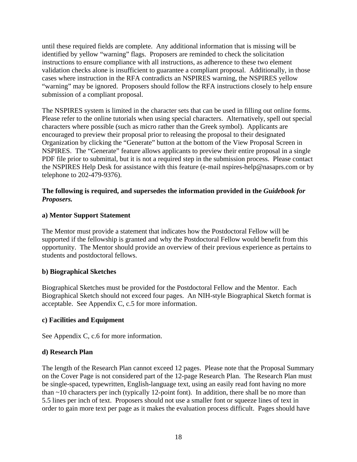until these required fields are complete. Any additional information that is missing will be identified by yellow "warning" flags. Proposers are reminded to check the solicitation instructions to ensure compliance with all instructions, as adherence to these two element validation checks alone is insufficient to guarantee a compliant proposal. Additionally, in those cases where instruction in the RFA contradicts an NSPIRES warning, the NSPIRES yellow "warning" may be ignored. Proposers should follow the RFA instructions closely to help ensure submission of a compliant proposal.

The NSPIRES system is limited in the character sets that can be used in filling out online forms. Please refer to the online tutorials when using special characters. Alternatively, spell out special characters where possible (such as micro rather than the Greek symbol). Applicants are encouraged to preview their proposal prior to releasing the proposal to their designated Organization by clicking the "Generate" button at the bottom of the View Proposal Screen in NSPIRES. The "Generate" feature allows applicants to preview their entire proposal in a single PDF file prior to submittal, but it is not a required step in the submission process. Please contact the NSPIRES Help Desk for assistance with this feature (e-mail [nspires-help@nasaprs.com](mailto:nspires-help@nasaprs.com) or by telephone to 202-479-9376).

#### The following is required, and supersedes the information provided in the *Guidebook for Proposers.*

## **a) Mentor Support Statement**

The Mentor must provide a statement that indicates how the Postdoctoral Fellow will be supported if the fellowship is granted and why the Postdoctoral Fellow would benefit from this opportunity. The Mentor should provide an overview of their previous experience as pertains to students and postdoctoral fellows.

## **b) Biographical Sketches**

Biographical Sketches must be provided for the Postdoctoral Fellow and the Mentor. Each Biographical Sketch should not exceed four pages. An NIH-style Biographical Sketch format is acceptable. See Appendix C, c.5 for more information.

## **c) Facilities and Equipment**

See Appendix C, c.6 for more information.

## **d) Research Plan**

The length of the Research Plan cannot exceed 12 pages. Please note that the Proposal Summary on the Cover Page is not considered part of the 12-page Research Plan. The Research Plan must be single-spaced, typewritten, English-language text, using an easily read font having no more than  $\sim$ 10 characters per inch (typically 12-point font). In addition, there shall be no more than 5.5 lines per inch of text. Proposers should not use a smaller font or squeeze lines of text in order to gain more text per page as it makes the evaluation process difficult. Pages should have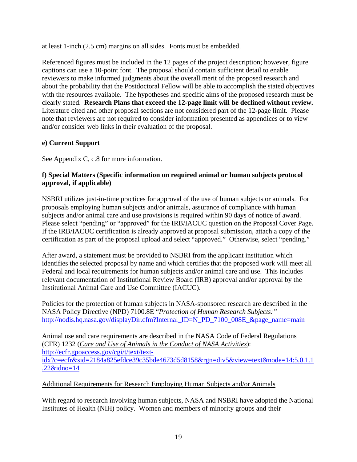at least 1-inch (2.5 cm) margins on all sides. Fonts must be embedded.

Referenced figures must be included in the 12 pages of the project description; however, figure captions can use a 10-point font. The proposal should contain sufficient detail to enable reviewers to make informed judgments about the overall merit of the proposed research and about the probability that the Postdoctoral Fellow will be able to accomplish the stated objectives with the resources available. The hypotheses and specific aims of the proposed research must be clearly stated. **Research Plans that exceed the 12-page limit will be declined without review.**  Literature cited and other proposal sections are not considered part of the 12-page limit. Please note that reviewers are not required to consider information presented as appendices or to view and/or consider web links in their evaluation of the proposal.

## **e) Current Support**

See Appendix C, c.8 for more information.

## **f) Special Matters (Specific information on required animal or human subjects protocol approval, if applicable)**

NSBRI utilizes just-in-time practices for approval of the use of human subjects or animals. For proposals employing human subjects and/or animals, assurance of compliance with human subjects and/or animal care and use provisions is required within 90 days of notice of award. Please select "pending" or "approved" for the IRB/IACUC question on the Proposal Cover Page. If the IRB/IACUC certification is already approved at proposal submission, attach a copy of the certification as part of the proposal upload and select "approved." Otherwise, select "pending."

After award, a statement must be provided to NSBRI from the applicant institution which identifies the selected proposal by name and which certifies that the proposed work will meet all Federal and local requirements for human subjects and/or animal care and use. This includes relevant documentation of Institutional Review Board (IRB) approval and/or approval by the Institutional Animal Care and Use Committee (IACUC).

Policies for the protection of human subjects in NASA-sponsored research are described in the NASA Policy Directive (NPD) 7100.8E "*Protection of Human Research Subjects:"* [http://nodis.hq.nasa.gov/displayDir.cfm?Internal\\_ID=N\\_PD\\_7100\\_008E\\_&page\\_name=main](http://nodis.hq.nasa.gov/displayDir.cfm?Internal_ID=N_PD_7100_008E_&page_name=main)

Animal use and care requirements are described in the NASA Code of Federal Regulations (CFR) 1232 (*[Care and Use of Animals in the Conduct of NASA Activities](http://ecfr.gpoaccess.gov/cgi/t/text/text-idx?c=ecfr&sid=2184a825efdce39c35bde4673d5d8158&rgn=div5&view=text&node=14:5.0.1.1.22&idno=14)*): [http://ecfr.gpoaccess.gov/cgi/t/text/text](http://ecfr.gpoaccess.gov/cgi/t/text/text-idx?c=ecfr&sid=2184a825efdce39c35bde4673d5d8158&rgn=div5&view=text&node=14:5.0.1.1.22&idno=14)[idx?c=ecfr&sid=2184a825efdce39c35bde4673d5d8158&rgn=div5&view=text&node=14:5.0.1.1](http://ecfr.gpoaccess.gov/cgi/t/text/text-idx?c=ecfr&sid=2184a825efdce39c35bde4673d5d8158&rgn=div5&view=text&node=14:5.0.1.1.22&idno=14) [.22&idno=14](http://ecfr.gpoaccess.gov/cgi/t/text/text-idx?c=ecfr&sid=2184a825efdce39c35bde4673d5d8158&rgn=div5&view=text&node=14:5.0.1.1.22&idno=14)

Additional Requirements for Research Employing Human Subjects and/or Animals

With regard to research involving human subjects, NASA and NSBRI have adopted the National Institutes of Health (NIH) policy. Women and members of minority groups and their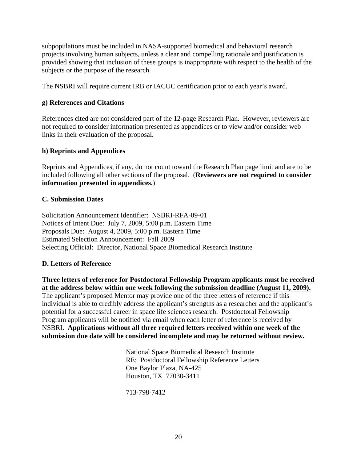subpopulations must be included in NASA-supported biomedical and behavioral research projects involving human subjects, unless a clear and compelling rationale and justification is provided showing that inclusion of these groups is inappropriate with respect to the health of the subjects or the purpose of the research.

The NSBRI will require current IRB or IACUC certification prior to each year's award.

#### **g) References and Citations**

References cited are not considered part of the 12-page Research Plan. However, reviewers are not required to consider information presented as appendices or to view and/or consider web links in their evaluation of the proposal.

#### **h) Reprints and Appendices**

Reprints and Appendices, if any, do not count toward the Research Plan page limit and are to be included following all other sections of the proposal. (**Reviewers are not required to consider information presented in appendices.**)

#### **C. Submission Dates**

Solicitation Announcement Identifier: NSBRI-RFA-09-01 Notices of Intent Due: July 7, 2009, 5:00 p.m. Eastern Time Proposals Due: August 4, 2009, 5:00 p.m. Eastern Time Estimated Selection Announcement: Fall 2009 Selecting Official: Director, National Space Biomedical Research Institute

## **D. Letters of Reference**

**Three letters of reference for Postdoctoral Fellowship Program applicants must be received at the address below within one week following the submission deadline (August 11, 2009).** The applicant's proposed Mentor may provide one of the three letters of reference if this

individual is able to credibly address the applicant's strengths as a researcher and the applicant's potential for a successful career in space life sciences research. Postdoctoral Fellowship Program applicants will be notified via email when each letter of reference is received by NSBRI. **Applications without all three required letters received within one week of the submission due date will be considered incomplete and may be returned without review.**

> National Space Biomedical Research Institute RE: Postdoctoral Fellowship Reference Letters One Baylor Plaza, NA-425 Houston, TX 77030-3411

713-798-7412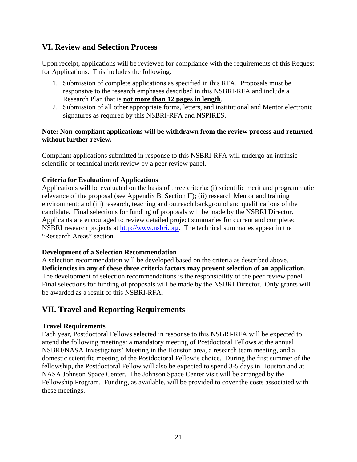# **VI. Review and Selection Process**

Upon receipt, applications will be reviewed for compliance with the requirements of this Request for Applications. This includes the following:

- 1. Submission of complete applications as specified in this RFA. Proposals must be responsive to the research emphases described in this NSBRI-RFA and include a Research Plan that is **not more than 12 pages in length**.
- 2. Submission of all other appropriate forms, letters, and institutional and Mentor electronic signatures as required by this NSBRI-RFA and NSPIRES.

#### **Note: Non-compliant applications will be withdrawn from the review process and returned without further review.**

Compliant applications submitted in response to this NSBRI-RFA will undergo an intrinsic scientific or technical merit review by a peer review panel.

## **Criteria for Evaluation of Applications**

Applications will be evaluated on the basis of three criteria: (i) scientific merit and programmatic relevance of the proposal (see Appendix B, Section II); (ii) research Mentor and training environment; and (iii) research, teaching and outreach background and qualifications of the candidate. Final selections for funding of proposals will be made by the NSBRI Director. Applicants are encouraged to review detailed project summaries for current and completed NSBRI research projects at [http://www.nsbri.org.](http://www.nsbri.org/) The technical summaries appear in the "Research Areas" section.

#### **Development of a Selection Recommendation**

A selection recommendation will be developed based on the criteria as described above. **Deficiencies in any of these three criteria factors may prevent selection of an application.** The development of selection recommendations is the responsibility of the peer review panel. Final selections for funding of proposals will be made by the NSBRI Director. Only grants will be awarded as a result of this NSBRI-RFA.

# **VII. Travel and Reporting Requirements**

#### **Travel Requirements**

Each year, Postdoctoral Fellows selected in response to this NSBRI-RFA will be expected to attend the following meetings: a mandatory meeting of Postdoctoral Fellows at the annual NSBRI/NASA Investigators' Meeting in the Houston area, a research team meeting, and a domestic scientific meeting of the Postdoctoral Fellow's choice. During the first summer of the fellowship, the Postdoctoral Fellow will also be expected to spend 3-5 days in Houston and at NASA Johnson Space Center. The Johnson Space Center visit will be arranged by the Fellowship Program. Funding, as available, will be provided to cover the costs associated with these meetings.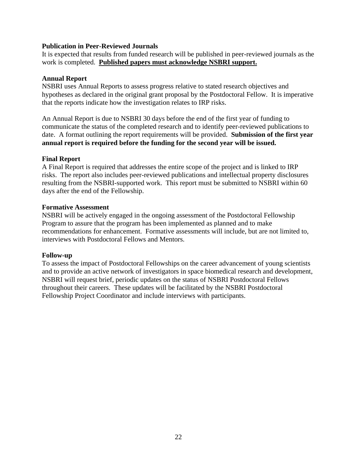#### **Publication in Peer-Reviewed Journals**

It is expected that results from funded research will be published in peer-reviewed journals as the work is completed. **Published papers must acknowledge NSBRI support.**

#### **Annual Report**

NSBRI uses Annual Reports to assess progress relative to stated research objectives and hypotheses as declared in the original grant proposal by the Postdoctoral Fellow. It is imperative that the reports indicate how the investigation relates to IRP risks.

An Annual Report is due to NSBRI 30 days before the end of the first year of funding to communicate the status of the completed research and to identify peer-reviewed publications to date. A format outlining the report requirements will be provided. **Submission of the first year annual report is required before the funding for the second year will be issued.**

#### **Final Report**

A Final Report is required that addresses the entire scope of the project and is linked to IRP risks. The report also includes peer-reviewed publications and intellectual property disclosures resulting from the NSBRI-supported work. This report must be submitted to NSBRI within 60 days after the end of the Fellowship.

#### **Formative Assessment**

NSBRI will be actively engaged in the ongoing assessment of the Postdoctoral Fellowship Program to assure that the program has been implemented as planned and to make recommendations for enhancement. Formative assessments will include, but are not limited to, interviews with Postdoctoral Fellows and Mentors.

#### **Follow-up**

To assess the impact of Postdoctoral Fellowships on the career advancement of young scientists and to provide an active network of investigators in space biomedical research and development, NSBRI will request brief, periodic updates on the status of NSBRI Postdoctoral Fellows throughout their careers. These updates will be facilitated by the NSBRI Postdoctoral Fellowship Project Coordinator and include interviews with participants.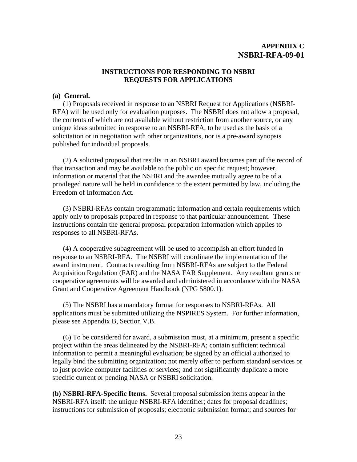## **APPENDIX C NSBRI-RFA-09-01**

#### **INSTRUCTIONS FOR RESPONDING TO NSBRI REQUESTS FOR APPLICATIONS**

#### **(a) General.**

 (1) Proposals received in response to an NSBRI Request for Applications (NSBRI-RFA) will be used only for evaluation purposes. The NSBRI does not allow a proposal, the contents of which are not available without restriction from another source, or any unique ideas submitted in response to an NSBRI-RFA, to be used as the basis of a solicitation or in negotiation with other organizations, nor is a pre-award synopsis published for individual proposals.

 (2) A solicited proposal that results in an NSBRI award becomes part of the record of that transaction and may be available to the public on specific request; however, information or material that the NSBRI and the awardee mutually agree to be of a privileged nature will be held in confidence to the extent permitted by law, including the Freedom of Information Act.

(3) NSBRI-RFAs contain programmatic information and certain requirements which apply only to proposals prepared in response to that particular announcement. These instructions contain the general proposal preparation information which applies to responses to all NSBRI-RFAs.

(4) A cooperative subagreement will be used to accomplish an effort funded in response to an NSBRI-RFA. The NSBRI will coordinate the implementation of the award instrument. Contracts resulting from NSBRI-RFAs are subject to the Federal Acquisition Regulation (FAR) and the NASA FAR Supplement. Any resultant grants or cooperative agreements will be awarded and administered in accordance with the NASA Grant and Cooperative Agreement Handbook (NPG 5800.1).

 (5) The NSBRI has a mandatory format for responses to NSBRI-RFAs. All applications must be submitted utilizing the NSPIRES System. For further information, please see Appendix B, Section V.B.

 (6) To be considered for award, a submission must, at a minimum, present a specific project within the areas delineated by the NSBRI-RFA; contain sufficient technical information to permit a meaningful evaluation; be signed by an official authorized to legally bind the submitting organization; not merely offer to perform standard services or to just provide computer facilities or services; and not significantly duplicate a more specific current or pending NASA or NSBRI solicitation.

**(b) NSBRI-RFA-Specific Items.** Several proposal submission items appear in the NSBRI-RFA itself: the unique NSBRI-RFA identifier; dates for proposal deadlines; instructions for submission of proposals; electronic submission format; and sources for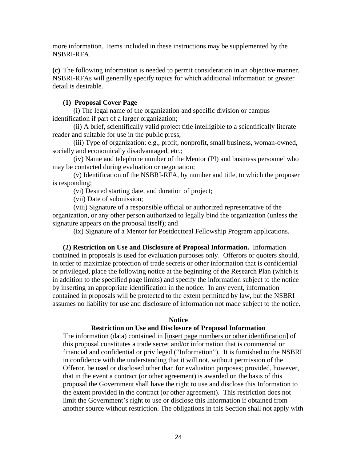more information. Items included in these instructions may be supplemented by the NSBRI-RFA.

**(c)** The following information is needed to permit consideration in an objective manner. NSBRI-RFAs will generally specify topics for which additional information or greater detail is desirable.

#### **(1) Proposal Cover Page**

 (i) The legal name of the organization and specific division or campus identification if part of a larger organization;

 (ii) A brief, scientifically valid project title intelligible to a scientifically literate reader and suitable for use in the public press;

 (iii) Type of organization: e.g., profit, nonprofit, small business, woman-owned, socially and economically disadvantaged, etc.;

 (iv) Name and telephone number of the Mentor (PI) and business personnel who may be contacted during evaluation or negotiation;

 (v) Identification of the NSBRI-RFA, by number and title, to which the proposer is responding;

(vi) Desired starting date, and duration of project;

(vii) Date of submission;

 (viii) Signature of a responsible official or authorized representative of the organization, or any other person authorized to legally bind the organization (unless the signature appears on the proposal itself); and

(ix) Signature of a Mentor for Postdoctoral Fellowship Program applications.

 **(2) Restriction on Use and Disclosure of Proposal Information.** Information contained in proposals is used for evaluation purposes only. Offerors or quoters should, in order to maximize protection of trade secrets or other information that is confidential or privileged, place the following notice at the beginning of the Research Plan (which is in addition to the specified page limits) and specify the information subject to the notice by inserting an appropriate identification in the notice. In any event, information contained in proposals will be protected to the extent permitted by law, but the NSBRI assumes no liability for use and disclosure of information not made subject to the notice.

#### **Notice**

#### **Restriction on Use and Disclosure of Proposal Information**

The information (data) contained in [insert page numbers or other identification] of this proposal constitutes a trade secret and/or information that is commercial or financial and confidential or privileged ("Information"). It is furnished to the NSBRI in confidence with the understanding that it will not, without permission of the Offeror, be used or disclosed other than for evaluation purposes; provided, however, that in the event a contract (or other agreement) is awarded on the basis of this proposal the Government shall have the right to use and disclose this Information to the extent provided in the contract (or other agreement). This restriction does not limit the Government's right to use or disclose this Information if obtained from another source without restriction. The obligations in this Section shall not apply with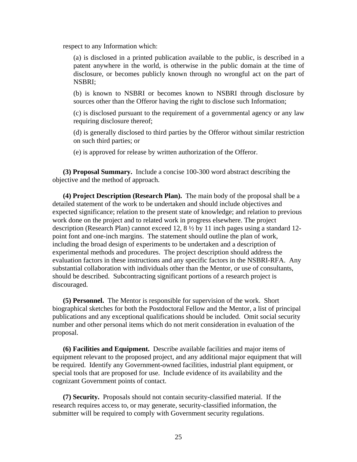respect to any Information which:

(a) is disclosed in a printed publication available to the public, is described in a patent anywhere in the world, is otherwise in the public domain at the time of disclosure, or becomes publicly known through no wrongful act on the part of NSBRI;

(b) is known to NSBRI or becomes known to NSBRI through disclosure by sources other than the Offeror having the right to disclose such Information;

(c) is disclosed pursuant to the requirement of a governmental agency or any law requiring disclosure thereof;

(d) is generally disclosed to third parties by the Offeror without similar restriction on such third parties; or

(e) is approved for release by written authorization of the Offeror.

 **(3) Proposal Summary.** Include a concise 100-300 word abstract describing the objective and the method of approach.

 **(4) Project Description (Research Plan).** The main body of the proposal shall be a detailed statement of the work to be undertaken and should include objectives and expected significance; relation to the present state of knowledge; and relation to previous work done on the project and to related work in progress elsewhere. The project description (Research Plan) cannot exceed 12, 8 ½ by 11 inch pages using a standard 12 point font and one-inch margins. The statement should outline the plan of work, including the broad design of experiments to be undertaken and a description of experimental methods and procedures. The project description should address the evaluation factors in these instructions and any specific factors in the NSBRI-RFA. Any substantial collaboration with individuals other than the Mentor, or use of consultants, should be described. Subcontracting significant portions of a research project is discouraged.

 **(5) Personnel.** The Mentor is responsible for supervision of the work. Short biographical sketches for both the Postdoctoral Fellow and the Mentor, a list of principal publications and any exceptional qualifications should be included. Omit social security number and other personal items which do not merit consideration in evaluation of the proposal.

 **(6) Facilities and Equipment.** Describe available facilities and major items of equipment relevant to the proposed project, and any additional major equipment that will be required. Identify any Government-owned facilities, industrial plant equipment, or special tools that are proposed for use. Include evidence of its availability and the cognizant Government points of contact.

 **(7) Security.** Proposals should not contain security-classified material. If the research requires access to, or may generate, security-classified information, the submitter will be required to comply with Government security regulations.